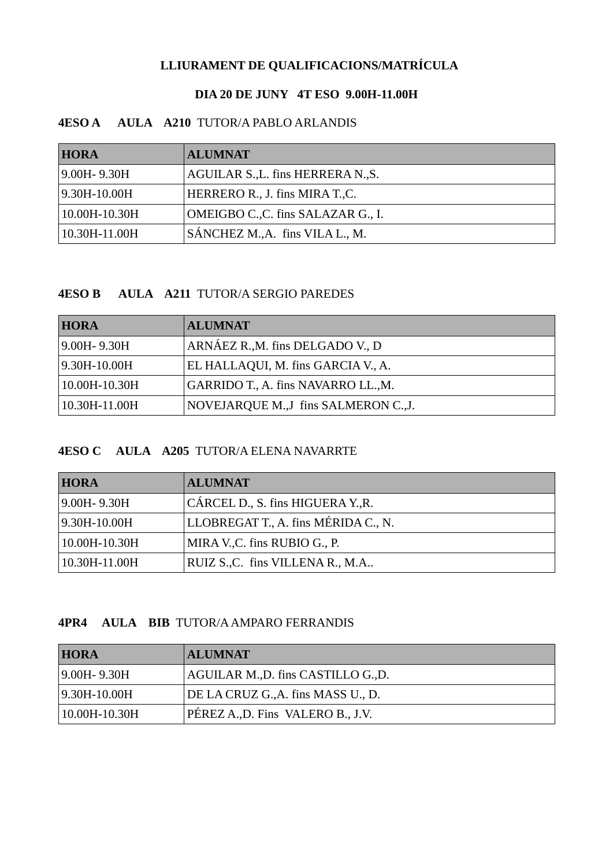# **LLIURAMENT DE QUALIFICACIONS/MATRÍCULA**

#### **DIA 20 DE JUNY 4T ESO 9.00H-11.00H**

### **4ESO A AULA A210** TUTOR/A PABLO ARLANDIS

| <b>HORA</b>   | <b>ALUMNAT</b>                     |
|---------------|------------------------------------|
| 9.00H - 9.30H | AGUILAR S., L. fins HERRERA N., S. |
| 9.30H-10.00H  | HERRERO R., J. fins MIRA T., C.    |
| 10.00H-10.30H | OMEIGBO C., C. fins SALAZAR G., I. |
| 10.30H-11.00H | SÁNCHEZ M., A. fins VILA L., M.    |

#### **4ESO B AULA A211** TUTOR/A SERGIO PAREDES

| <b>HORA</b>      | <b>ALUMNAT</b>                        |
|------------------|---------------------------------------|
| $9.00H - 9.30H$  | ARNÁEZ R., M. fins DELGADO V., D      |
| $ 9.30H-10.00H $ | EL HALLAQUI, M. fins GARCIA V., A.    |
| 10.00H-10.30H    | GARRIDO T., A. fins NAVARRO LL., M.   |
| 10.30H-11.00H    | NOVEJARQUE M., J fins SALMERON C., J. |

# **4ESO C AULA A205** TUTOR/A ELENA NAVARRTE

| <b>HORA</b>     | <b>ALUMNAT</b>                      |
|-----------------|-------------------------------------|
| $9.00H - 9.30H$ | CÁRCEL D., S. fins HIGUERA Y., R.   |
| 9.30H-10.00H    | LLOBREGAT T., A. fins MÉRIDA C., N. |
| 10.00H-10.30H   | MIRA V.C. fins RUBIO G., P.         |
| 10.30H-11.00H   | RUIZ S., C. fins VILLENA R., M.A    |

#### **4PR4 AULA BIB** TUTOR/A AMPARO FERRANDIS

| <b>HORA</b>      | <b>ALUMNAT</b>                     |
|------------------|------------------------------------|
| $9.00H - 9.30H$  | AGUILAR M.,D. fins CASTILLO G.,D.  |
| $ 9.30H-10.00H $ | DE LA CRUZ G., A. fins MASS U., D. |
| 10.00H-10.30H    | PEREZ A., D. Fins VALERO B., J.V.  |